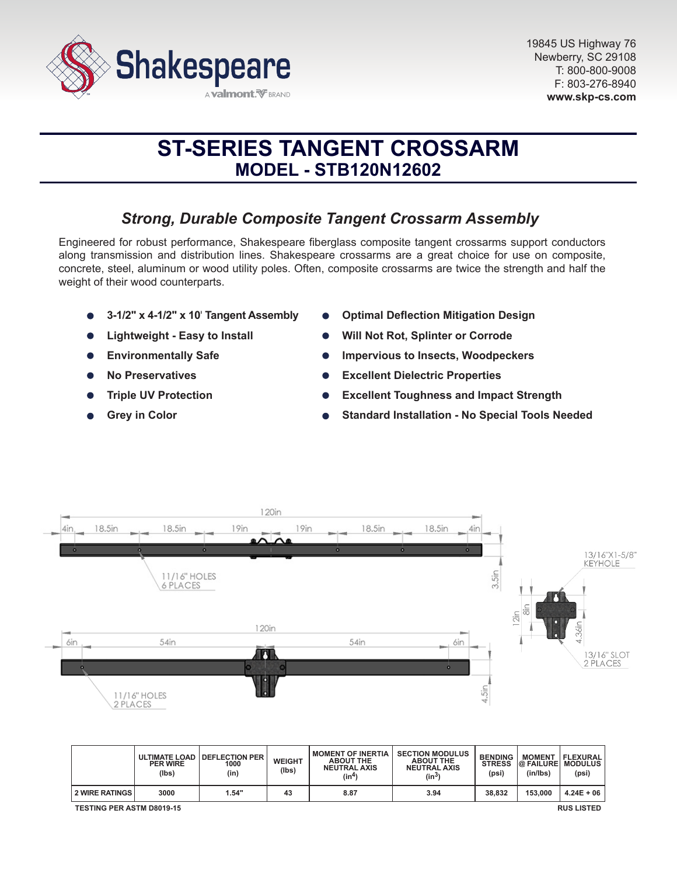

# **ST-SERIES TANGENT CROSSARM MODEL - STB120N12602**

# *Strong, Durable Composite Tangent Crossarm Assembly*

Engineered for robust performance, Shakespeare fiberglass composite tangent crossarms support conductors along transmission and distribution lines. Shakespeare crossarms are a great choice for use on composite, concrete, steel, aluminum or wood utility poles. Often, composite crossarms are twice the strength and half the weight of their wood counterparts.

- **3-1/2" x 4-1/2" x 10**' **Tangent Assembly**
- **Lightweight Easy to Install**
- **Environmentally Safe**
- **No Preservatives**
- **Triple UV Protection**
- **Grey in Color**
- **Optimal Deflection Mitigation Design**
- **Will Not Rot, Splinter or Corrode**
- **Impervious to Insects, Woodpeckers**
- **Excellent Dielectric Properties**
- **Excellent Toughness and Impact Strength**
- **Standard Installation No Special Tools Needed**



|                                                       | <b>PER WIRE</b><br>(lbs) | ULTIMATE LOAD   DEFLECTION PER<br>1000<br>(in) | <b>WEIGHT</b><br>(lbs) | <b>MOMENT OF INERTIA</b><br><b>ABOUT THE</b><br><b>NEUTRAL AXIS</b><br>(in <sup>4</sup> ) | <b>SECTION MODULUS</b><br><b>ABOUT THE</b><br><b>NEUTRAL AXIS</b><br>(in <sup>3</sup> ) | <b>BENDING</b><br><b>STRESS</b><br>(psi) | <b>MOMENT</b><br><b>@ FAILURE MODULUS</b><br>(in/lbs) | <b>FLEXURAL</b><br>(psi) |
|-------------------------------------------------------|--------------------------|------------------------------------------------|------------------------|-------------------------------------------------------------------------------------------|-----------------------------------------------------------------------------------------|------------------------------------------|-------------------------------------------------------|--------------------------|
| <b>2 WIRE RATINGS</b>                                 | 3000                     | 1.54"                                          | 43                     | 8.87                                                                                      | 3.94                                                                                    | 38,832                                   | 153,000                                               | $4.24E + 06$             |
| <b>TESTING PER ASTM D8019-15</b><br><b>RUS LISTED</b> |                          |                                                |                        |                                                                                           |                                                                                         |                                          |                                                       |                          |